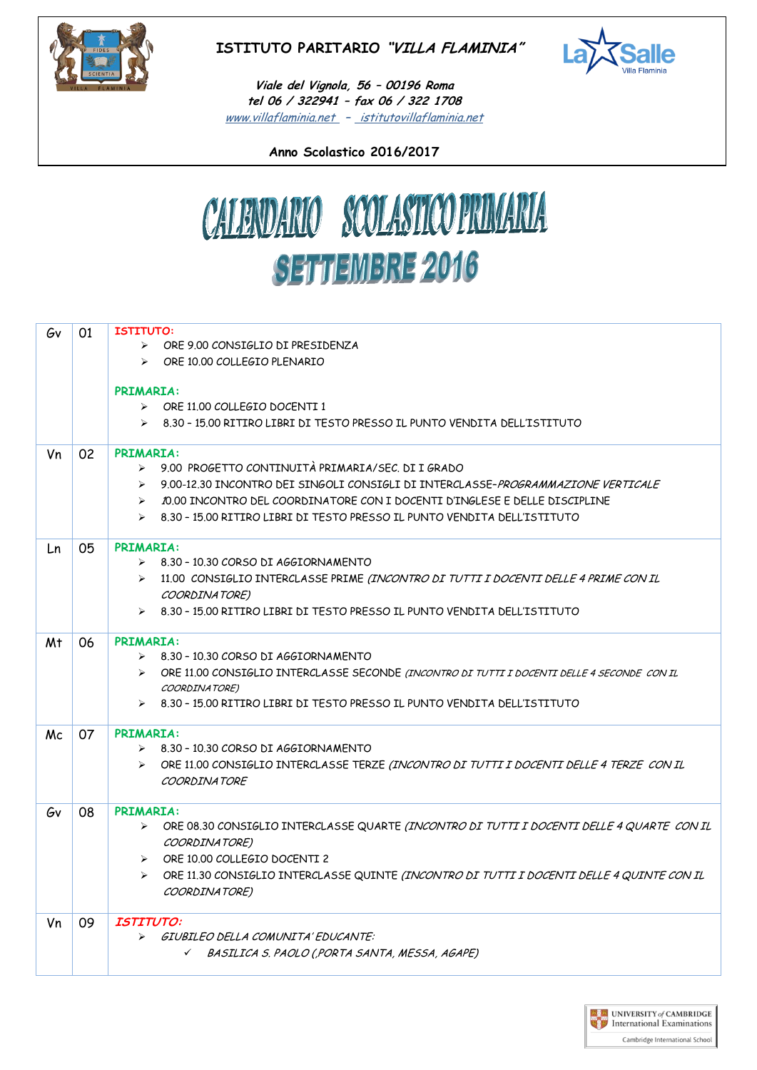

## **ISTITUTO PARITARIO "VILLA FLAMINIA"**



+ [www.villaflaminia.net](http://www.villaflaminia.net/) **–** istitutovillaflaminia.net **Viale del Vignola, 56 – 00196 Roma tel 06 / 322941 – fax 06 / 322 1708**

**Anno Scolastico 2016/2017**



| Gv             | 01 | <b>ISTITUTO:</b>                                                                                                          |
|----------------|----|---------------------------------------------------------------------------------------------------------------------------|
|                |    | $\triangleright$ ORE 9.00 CONSIGLIO DI PRESIDENZA                                                                         |
|                |    | > ORE 10.00 COLLEGIO PLENARIO                                                                                             |
|                |    |                                                                                                                           |
|                |    | <b>PRIMARIA:</b>                                                                                                          |
|                |    | $\triangleright$ ORE 11.00 COLLEGIO DOCENTI 1                                                                             |
|                |    | $\triangleright$ 8.30 - 15.00 RITIRO LIBRI DI TESTO PRESSO IL PUNTO VENDITA DELL'ISTITUTO                                 |
| Vn             | 02 | <b>PRIMARIA:</b>                                                                                                          |
|                |    | > 9.00 PROGETTO CONTINUITÀ PRIMARIA/SEC. DI I GRADO                                                                       |
|                |    | 9.00-12.30 INCONTRO DEI SINGOLI CONSIGLI DI INTERCLASSE-PROGRAMMAZIONE VERTICALE<br>$\triangleright$                      |
|                |    | 10.00 INCONTRO DEL COORDINATORE CON I DOCENTI D'INGLESE E DELLE DISCIPLINE<br>$\triangleright$                            |
|                |    | $\geq$ 8.30 - 15.00 RITIRO LIBRI DI TESTO PRESSO IL PUNTO VENDITA DELL'ISTITUTO                                           |
| Ln             | 05 | <b>PRIMARIA:</b>                                                                                                          |
|                |    | $\geq$ 8.30 - 10.30 CORSO DI AGGIORNAMENTO                                                                                |
|                |    | > 11.00 CONSIGLIO INTERCLASSE PRIME (INCONTRO DI TUTTI I DOCENTI DELLE 4 PRIME CON IL                                     |
|                |    | COORDINATORE)                                                                                                             |
|                |    | $\triangleright$ 8.30 - 15.00 RITIRO LIBRI DI TESTO PRESSO IL PUNTO VENDITA DELL'ISTITUTO                                 |
|                |    |                                                                                                                           |
| M <sup>+</sup> | 06 | <b>PRIMARIA:</b>                                                                                                          |
|                |    | $\triangleright$ 8.30 - 10.30 CORSO DI AGGIORNAMENTO                                                                      |
|                |    | > ORE 11.00 CONSIGLIO INTERCLASSE SECONDE (INCONTRO DI TUTTI I DOCENTI DELLE 4 SECONDE CON IL                             |
|                |    | COORDINATORE)                                                                                                             |
|                |    | 8.30 - 15.00 RITIRO LIBRI DI TESTO PRESSO IL PUNTO VENDITA DELL'ISTITUTO                                                  |
| Mc             | 07 | <b>PRIMARIA:</b>                                                                                                          |
|                |    | $\triangleright$ 8.30 - 10.30 CORSO DI AGGIORNAMENTO                                                                      |
|                |    | ORE 11.00 CONSIGLIO INTERCLASSE TERZE (INCONTRO DI TUTTI I DOCENTI DELLE 4 TERZE CON IL<br>$\blacktriangleright$          |
|                |    | COORDINATORF                                                                                                              |
| Gv             | 08 | <b>PRIMARIA:</b>                                                                                                          |
|                |    | ORE 08.30 CONSIGLIO INTERCLASSE QUARTE <i>(INCONTRO DI TUTTI I DOCENTI DELLE 4 QUARTE  CON IL</i>                         |
|                |    | COORDINATORE)                                                                                                             |
|                |    | > ORE 10.00 COLLEGIO DOCENTI 2                                                                                            |
|                |    | ORE 11.30 CONSIGLIO INTERCLASSE QUINTE <i>(INCONTRO DI TUTTI I DOCENTI DELLE 4 QUINTE CON IL</i><br>$\blacktriangleright$ |
|                |    | COORDINATORE)                                                                                                             |
| Vn             | 09 | <i><b>ISTITUTO:</b></i>                                                                                                   |
|                |    | GIUBILEO DELLA COMUNITA' EDUCANTE:<br>➤                                                                                   |
|                |    | √ BASILICA S. PAOLO (,PORTA SANTA, MESSA, AGAPE)                                                                          |
|                |    |                                                                                                                           |

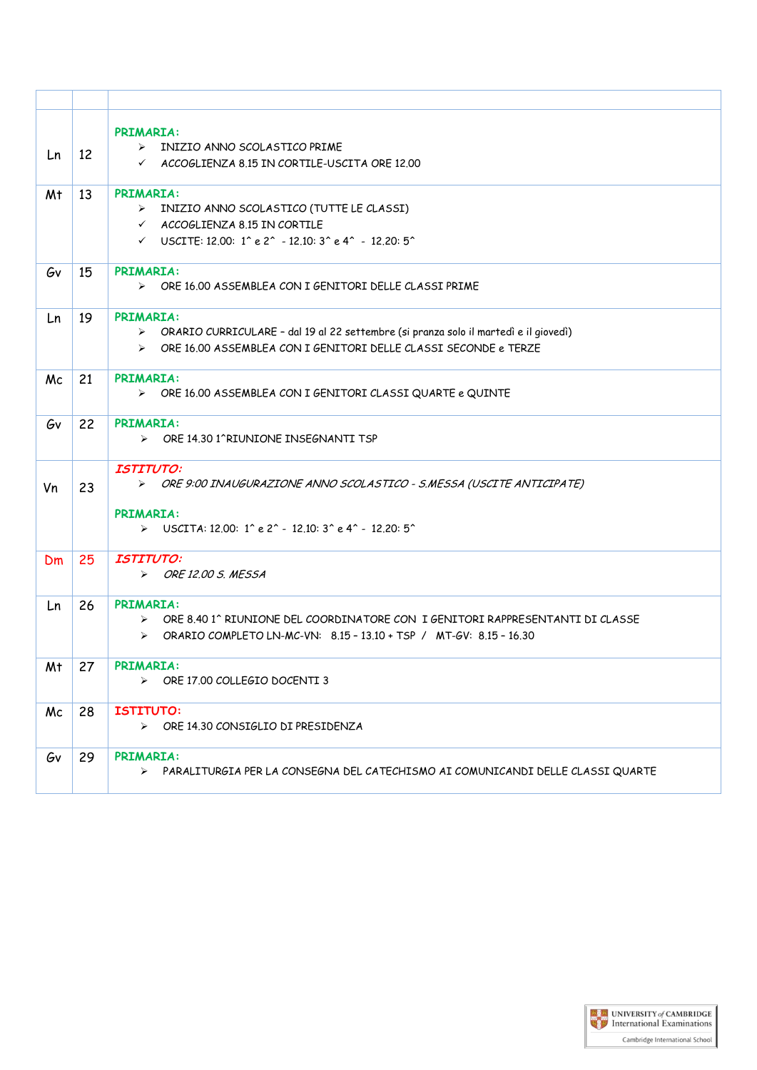| Ln | 12 | <b>PRIMARIA:</b><br>> INIZIO ANNO SCOLASTICO PRIME<br>$\checkmark$ ACCOGLIENZA 8.15 IN CORTILE-USCITA ORE 12.00                                                                                                                                    |
|----|----|----------------------------------------------------------------------------------------------------------------------------------------------------------------------------------------------------------------------------------------------------|
| Mt | 13 | <b>PRIMARIA:</b><br>> INIZIO ANNO SCOLASTICO (TUTTE LE CLASSI)<br>$\checkmark$ ACCOGLIENZA 8.15 IN CORTILE<br>$\checkmark$ USCITE: 12.00: 1 <sup>^</sup> e 2 <sup>^</sup> - 12.10: 3 <sup>^</sup> e 4 <sup>^</sup> - 12.20: 5 <sup>^</sup>         |
| Gv | 15 | <b>PRIMARIA:</b><br>$\triangleright$ ORE 16.00 ASSEMBLEA CON I GENITORI DELLE CLASSI PRIME                                                                                                                                                         |
| Ln | 19 | <b>PRIMARIA:</b><br>> ORARIO CURRICULARE - dal 19 al 22 settembre (si pranza solo il martedì e il giovedì)<br>> ORE 16.00 ASSEMBLEA CON I GENITORI DELLE CLASSI SECONDE e TERZE                                                                    |
| Mc | 21 | <b>PRIMARIA:</b><br>> ORE 16.00 ASSEMBLEA CON I GENITORI CLASSI QUARTE e QUINTE                                                                                                                                                                    |
| Gv | 22 | <b>PRIMARIA:</b><br>> ORE 14.30 1^RIUNIONE INSEGNANTI TSP                                                                                                                                                                                          |
| Vn | 23 | <b>ISTITUTO:</b><br>> ORE 9:00 INAUGURAZIONE ANNO SCOLASTICO - S.MESSA (USCITE ANTICIPATE)<br><b>PRIMARIA:</b><br>$\triangleright$ USCITA: 12.00: 1 <sup>o</sup> e 2 <sup>o</sup> - 12.10: 3 <sup>o</sup> e 4 <sup>o</sup> - 12.20: 5 <sup>o</sup> |
| Dm | 25 | <b>ISTITUTO:</b><br>$\triangleright$ ORE 12.00 S. MESSA                                                                                                                                                                                            |
| Ln | 26 | <b>PRIMARIA:</b><br>> ORE 8.40 1^ RIUNIONE DEL COORDINATORE CON I GENITORI RAPPRESENTANTI DI CLASSE<br>$\triangleright$ ORARIO COMPLETO LN-MC-VN: 8.15 - 13.10 + TSP / MT-GV: 8.15 - 16.30                                                         |
| Mt | 27 | <b>PRIMARIA:</b><br>$\triangleright$ ORE 17.00 COLLEGIO DOCENTI 3                                                                                                                                                                                  |
| Mc | 28 | <b>ISTITUTO:</b><br>$\triangleright$ ORE 14.30 CONSIGLIO DI PRESIDENZA                                                                                                                                                                             |
| Gν | 29 | <b>PRIMARIA:</b><br>> PARALITURGIA PER LA CONSEGNA DEL CATECHISMO AI COMUNICANDI DELLE CLASSI QUARTE                                                                                                                                               |